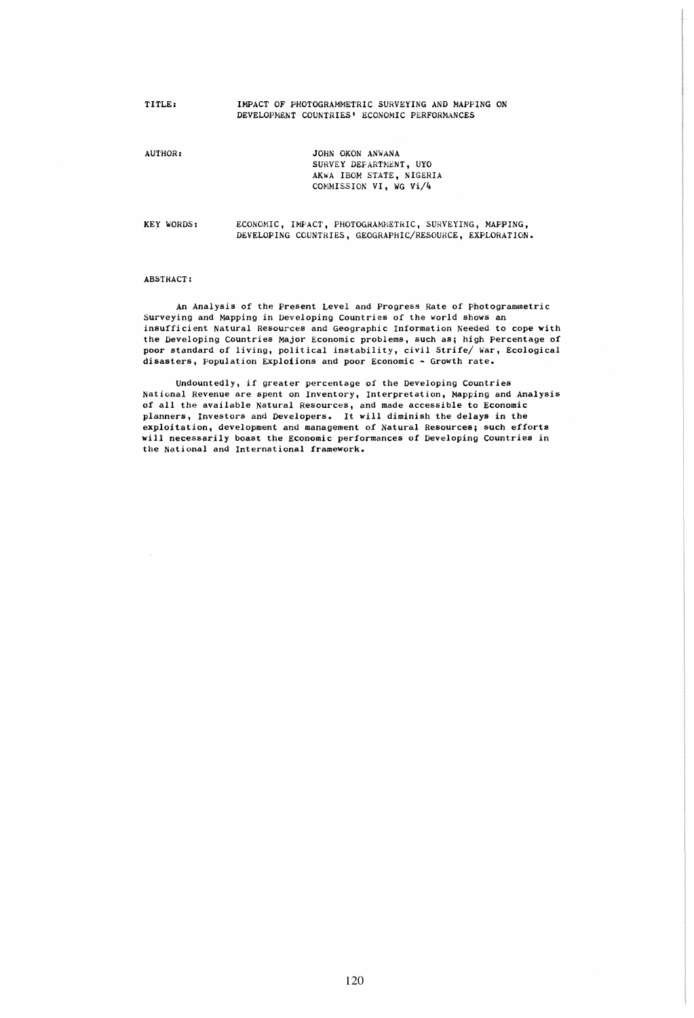TITLE:

### IMPACT OF PHOTOGRAMMETRIC SURVEYING AND MAPPING ON DEVELOPMENT COUNTRIES' ECONOMIC PERFORMANCES

AUTHOR:

JOHN OKON ANWANA SURVEY DEFARTMENT, UYO AKWA IBOM STATE, NIGERIA COMMISSION VI, WG Vi/4

KEY wORDS:

ECONOMIC, IMPACT, PHOTOGRAMMETRIC, SURVEYING, MAPPING, DEVELOPING COUNTRIES, GEOGRAPHIC/RESOURCE, EXPLORATION.

#### ABSTRACT:

An Analysis of the Present Level and Progress Rate of Photogrammetric Surveying and Mapping *in* Developing Countries of the world shows an insufficient Natural Resources and Geographic Information Needed to cope with the Developing Countries Major Economic problems, such as; high Percentage of poor standard of living, political instability, civil Strife/ War, Ecological disasters, Population Explotions and poor Economic - Growth rate.

Undountedly, if greater percentage of the Developing Countries National Revenue are spent on Inventory, Interpretation, Mapping and Analysis of all the available Natural Resources, and made accessible to Economic planners, Investors and Developers. It will diminish the delays in the exploitation, development and management of Natural Resources; such efforts will necessarily boast the Economic performances of Developing Countries *in*  the National and International framework.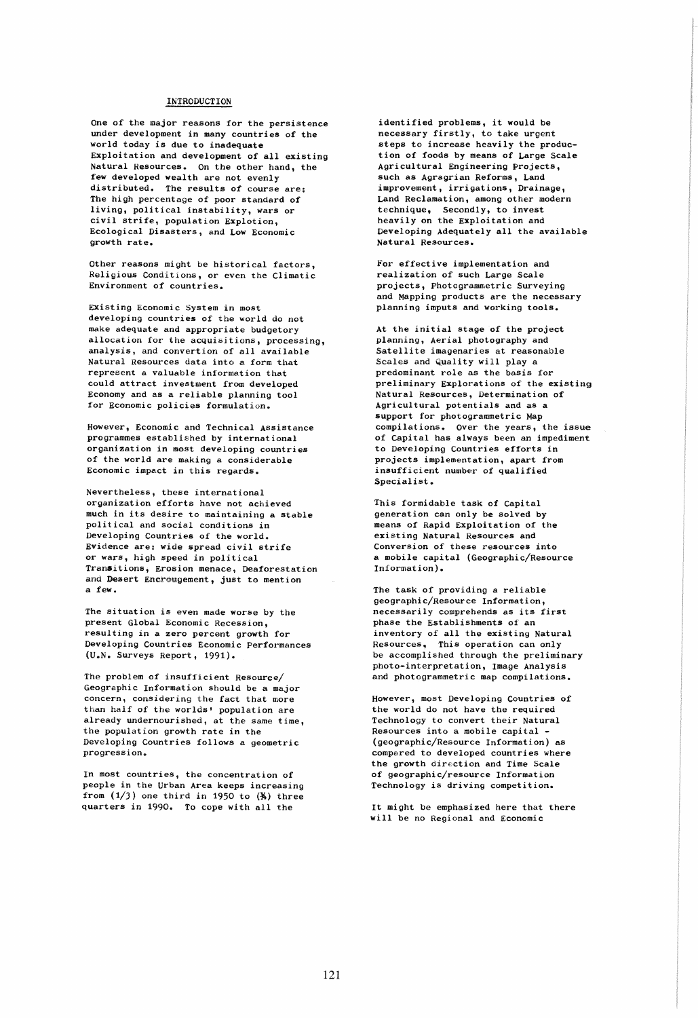## INTRODUCTION

One of the major reasons for the persistence under development in many countries of the world today is due to inadequate Exploitation and development of all existing Natural Resources. On the other hand, the few developed wealth are not evenly distributed. The results of course are: The high percentage of poor standard of living, political instability, wars or civil strife, population ExpIation, Ecological Disasters, and Low Economic growth rate.

Other reasons might be historical factors, Religious Conditions, or even the Climatic Environment of countries.

Existing Economic System in most developing countries of the world do not make adequate and appropriate budgetory allocation for the acquisitions, processing, analysis, and convertion of all available Natural Resources data into a form that represent a valuable information that could attract investment from developed Economy and as a reliable planning tool for Economic policies formulation.

However, Economic and Technical Assistance programmes established by international organization in most developing countries of the world are making a considerable Economic impact in this regards.

Nevertheless, these international organization efforts have not achieved much in its desire to maintaining a stable political and social conditions in Developing Countries of the world. Evidence are: wide spread civil strife or wars, high speed in political Transitions, Erosion menace, Deaforestation and Desert Encrougement, just to mention a few.

The situation is even made worse by the present Global Economic Recession, resulting in a zero percent growth for Developing Countries Economic Performances (U.N. Surveys Report, 1991).

The problem of insufficient Resource/ Geographic Information should be a major concern, considering the fact that more than half of the worlds' population are already undernourished, at the same time, the population growth rate in the Developing Countries follows a geometric progression.

In most countries, the concentration of people in the Urban Area keeps increasing from  $(1/3)$  one third in 1950 to  $(*)$  three quarters in 1990. To cope with all the

identified problems, it would be necessary firstly, to take urgent steps to increase heavily the production of foods by means of Large Scale Agricultural Engineering Projects, such as Agragrian Reforms, Land improvement, irrigations, Drainage, Land Reclamation, among other modern technique, Secondly, to invest heavily on the Exploitation and Developing Adequately all the available Natural Resources.

For effective implementation and realization of such Large Scale projects, Photogrammetric Surveying and Mapping products are the necessary planning imputs and working tools.

At the initial stage of the project planning, Aerial photography and Satellite imagenaries at reasonable Scales and Quality will playa predominant role as the basis for preliminary Explorations of the existing Natural Resources, Determination of Agricultural potentials and as a support for photogrammetric Map compilations. Over the years, the issue of Capital has always been an impediment to Developing Countries efforts in projects implementation, apart from insufficient number of qualified Specialist.

This formidable task of Capital generation can only be solved by means of Rapid Exploitation of the existing Natural Resources and Conversion of these resources into a mobile capital (Geographic/Resource Information).

The task of providing a reliable geographic/Resource Information, necessarily comprehends as its first phase the Establishments of an inventory of all the existing Natural Resources, This operation can only be accomplished through the preliminary photo-interpretation, Image Analysis and photogrammetric map compilations.

However, most Developing Countries of the world do not have the required Technology to convert their Natural Resources into a mobile capital - (geographiC/Resource Information) as compared to developed countries where the growth direction and Time Scale of geographic/resource Information Technology is driving competition.

It might be emphasized here that there will be no Regional and Economic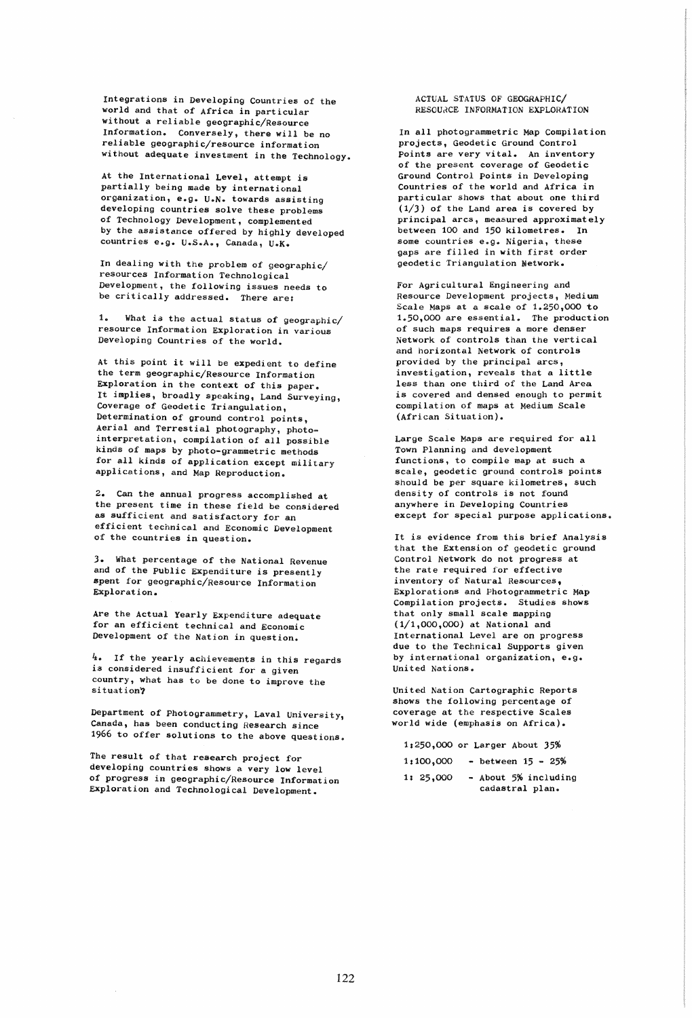Integrations in Developing Countries of the world and that of Africa in particular without a reliable geographic/Resource Information. Conversely, there will be no reliable geographic/resource information without adequate investment in the Technology.

At the International Level, attempt is partially being made by international organization, e.g. U.N. towards assisting developing countries solve these problems of Technology Development, complemented by the assistance offered by highly developed countries e.g. U.S.A., Canada, U.K.

In dealing with the problem of geographic/ resources Information Technological Development, the following issues needs to be critically addressed. There are:

1. What is the actual status of geographic/ resource Information Exploration in various Developing Countries of the world.

At this point it will be expedient to define the term geographic/Resource Information Exploration in the context of this paper. It implies, broadly speaking, Land Surveying, Coverage of Geodetic Triangulation, Determination of ground control points, Aerial and Terrestial photography, photointerpretation, compilation of all possible kinds of maps by photo-grammetric methods for all kinds of application except military applications, and Map Reproduction.

2. Can the annual progress accomplished at the present time in these field be considered as sufficient and satisfactory for an efficient technical and Economic Development of the countries in question.

J. What percentage of the National Revenue and of the public Expenditure is presently spent for geographic/Resource Information Exploration.

Are the Actual Yearly Expenditure adequate for an efficient technical and Economic Development of the Nation in question.

4. If the yearly achievements in this regards is considered insufficient for a given country, what has to be done to improve the situation?

Department of Photogrammetry, Laval University, Canada, has been conducting Research since 1966 to offer solutions to the above questions.

The result of that research project for developing countries Shows a very low level of progress in geographic/Resource Information Exploration and Technological Development.

### ACTUAL STATUS OF GEOGRAPHIC/ RESOURCE INFORMATION EXPLORATION

In all photogrammetric Map Compilation projects, Geodetic Ground Control points are very vital. An inventory of the present coverage of Geodetic Ground Control Points in Developing Countries of the world and Africa in particular shows that about one third  $(1/3)$  of the Land area is covered by principal arcs, measured approximately between 100 and 150 kilometres. In some countries e.g. Nigeria, these gaps are filled in with first order geodetic Triangulation Network.

For Agricultural Engineering and Resource Development projects, Medium Scale Maps at a scale of 1.250,000 to 1.50,000 are essential. The production of such maps requires a more denser Network of controls than the vertical and horizontal Network of controls provided by the principal arcs, investigation, reveals that a little less than one third of the Land Area is covered and densed enough to permit compilation of maps at Medium Scale (African Situation).

Large Scale Maps are required for all Town Planning and development functions, to compile map at such a scale, geodetic ground controls points should be per square kilometres, such density of controls is not found anywhere in Developing Countries except for special purpose applications.

It is evidence from this brief Analysis that the Extension of geodetic ground Control Network do not progress at the rate required for effective inventory of Natural Resources, Explorations and Photogrammetric Map Compilation projects. Studies shows that only small scale mapping (1/1,000,000) at National and International Level are on progress due to the Technical Supports given by international organization, e.g. United Nations.

United Nation Cartographic Reports Shows the following percentage of coverage at the respective Scales world wide (emphasis on Africa).

1,250,000 or Larger About 35% *lz100,OOO* - between 15 - 25%

1: 25,000 - About 5% including cadastral plan.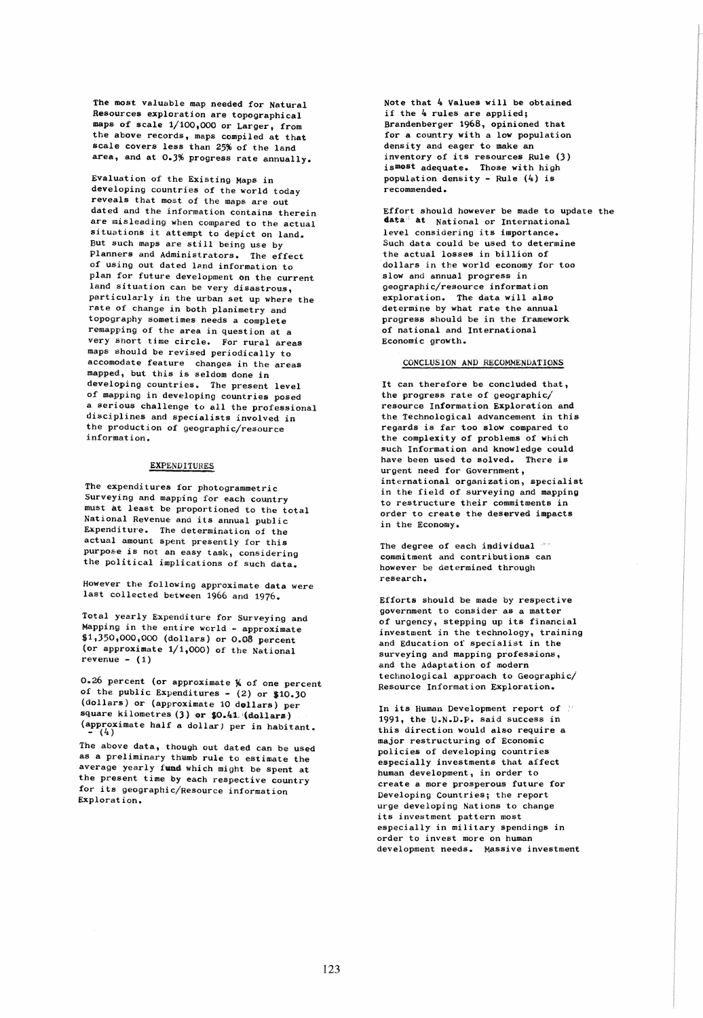The most valuable map needed for Natural Resources exploration are topographical maps of scale 1/100,000 or Larger, from the above records, maps compiled at that scale covers less than 25% of the land area, and at 0.3% progress rate annually.

EValuation of the Existing Maps in developing countries of the world today reveals that most of the maps are out dated and the information contains therein are misleading when compared to the actual situations it attempt to depict on land. But such maps are still being use by Planners and Administrators. The effect of using out dated land information to plan for future development on the current land situation can be very disastrous, particularly in the urban set up where the rate of change in both planimetry and topography sometimes needs a complete remapping of the area in question at a very short time circle. For rural areas maps should be revised periodically to accomodate feature changes in the areas mapped, but this is seldom done in developing countries. The present level of mapping in developing countries posed a serious challenge to all the professional disciplines and specialists involved in the production of geographic/resource information.

## EXPENDITURES

The expenditures for photogrammetric Surveying and mapping for each country must at least be proportioned to the total National Revenue and its annual public Expenditure. The determination of the actual amount spent presently for this purp06e is not an easy task, considering the political implications of such data.

However the following approximate data were last collected between 1966 and 1976.

Total yearly Expenditure for Surveying and Mapping in the entire world - approximate \$1,350,000,000 (dollars) or 0.08 percent (or approximate  $1/1,000$ ) of the National  $revenue - (1)$ 

0.26 percent (or approximate  $%$  of one percent of the public Expenditures -  $(2)$  or  $$10.30$ (dollars) or (approximate 10 dollars) per square kilometres  $(3)$  or  $$0.41$  (dollars) (approximate half a dollar) per in habitant.<br>  $(-4)$ 

The above data, though out dated can be used as a preliminary thumb rule to estimate the average yearly fund which might be spent at the present time by each respective country for its geographic/Resource information Exploration.

Note that  $4$  Values will be obtained if the  $4$  rules are applied; Brandenberger 1968, opinioned that for a country with a low population density and eager to make an inventory of its resources Rule (3) ismest adequate. Those with high population density - Rule  $(4)$  is recommended.

Effort should however be made to update the data at National or International level considering its importance. Such data could be used to determine the actual losses in billion of dollars in the world economy for too slow and annual progress in geographic/resource information exploration. The data will also determine by what rate the annual progress should be in the framework of national and International Economic growth.

# CONCLUSION AND RECOMMENDATIONS

It can therefore be concluded that, the progress rate of geographic/ resource Information Exploration and the Technological advancement in this regards is far too slow compared to the complexity of problems of which such Information and knowledge could have been used to solved. There is urgent need for Government, international organization, specialist in the field of surveying and mapping to restructure their commitments in order to create the deserved impacts in the Economy.

The degree of each individual \*\* commitment and contributions can however be determined through research.

Efforts should be made by respective government to consider as a matter of urgency, stepping up its financial investment in the technology, training and Education of specialist in the surveying and mapping professions, and the Adaptation of modern technological approach to Geographic/ Resource Information Exploration.

In its Human Development report of  $\mathbb{M}$ 1991, the V.N.D.P. said success in this direction would also require a major restructuring of Economic policies of developing countries especially investments that affect human development, in order to create a more prosperous future for Developing Countries; the report urge developing Nations to change its investment pattern most especially in military spendings in order to invest more on human development needs. Massive investment